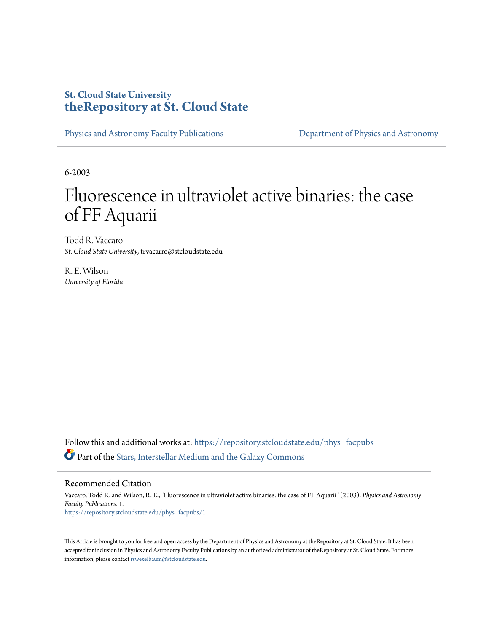# **St. Cloud State University [theRepository at St. Cloud State](https://repository.stcloudstate.edu?utm_source=repository.stcloudstate.edu%2Fphys_facpubs%2F1&utm_medium=PDF&utm_campaign=PDFCoverPages)**

[Physics and Astronomy Faculty Publications](https://repository.stcloudstate.edu/phys_facpubs?utm_source=repository.stcloudstate.edu%2Fphys_facpubs%2F1&utm_medium=PDF&utm_campaign=PDFCoverPages) [Department of Physics and Astronomy](https://repository.stcloudstate.edu/phys?utm_source=repository.stcloudstate.edu%2Fphys_facpubs%2F1&utm_medium=PDF&utm_campaign=PDFCoverPages)

6-2003

# Fluorescence in ultraviolet active binaries: the case of FF Aquarii

Todd R. Vaccaro *St. Cloud State University*, trvacarro@stcloudstate.edu

R. E. Wilson *University of Florida*

Follow this and additional works at: [https://repository.stcloudstate.edu/phys\\_facpubs](https://repository.stcloudstate.edu/phys_facpubs?utm_source=repository.stcloudstate.edu%2Fphys_facpubs%2F1&utm_medium=PDF&utm_campaign=PDFCoverPages) Part of the [Stars, Interstellar Medium and the Galaxy Commons](http://network.bepress.com/hgg/discipline/127?utm_source=repository.stcloudstate.edu%2Fphys_facpubs%2F1&utm_medium=PDF&utm_campaign=PDFCoverPages)

Recommended Citation

Vaccaro, Todd R. and Wilson, R. E., "Fluorescence in ultraviolet active binaries: the case of FF Aquarii" (2003). *Physics and Astronomy Faculty Publications*. 1. [https://repository.stcloudstate.edu/phys\\_facpubs/1](https://repository.stcloudstate.edu/phys_facpubs/1?utm_source=repository.stcloudstate.edu%2Fphys_facpubs%2F1&utm_medium=PDF&utm_campaign=PDFCoverPages)

This Article is brought to you for free and open access by the Department of Physics and Astronomy at theRepository at St. Cloud State. It has been accepted for inclusion in Physics and Astronomy Faculty Publications by an authorized administrator of theRepository at St. Cloud State. For more information, please contact [rswexelbaum@stcloudstate.edu.](mailto:rswexelbaum@stcloudstate.edu)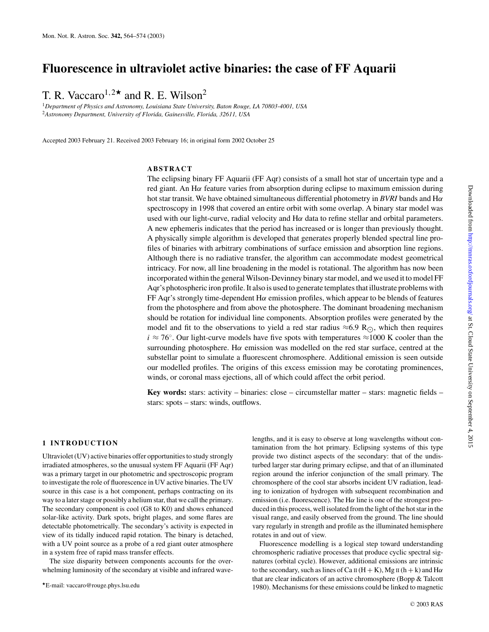# **Fluorescence in ultraviolet active binaries: the case of FF Aquarii**

# T. R. Vaccaro<sup>1,2\*</sup> and R. E. Wilson<sup>2</sup>

<sup>1</sup>*Department of Physics and Astronomy, Louisiana State University, Baton Rouge, LA 70803-4001, USA* <sup>2</sup>*Astronomy Department, University of Florida, Gainesville, Florida, 32611, USA*

Accepted 2003 February 21. Received 2003 February 16; in original form 2002 October 25

### **ABSTRACT**

The eclipsing binary FF Aquarii (FF Aqr) consists of a small hot star of uncertain type and a red giant. An Hα feature varies from absorption during eclipse to maximum emission during hot star transit. We have obtained simultaneous differential photometry in *BVRI* bands and Hα spectroscopy in 1998 that covered an entire orbit with some overlap. A binary star model was used with our light-curve, radial velocity and  $H\alpha$  data to refine stellar and orbital parameters. A new ephemeris indicates that the period has increased or is longer than previously thought. A physically simple algorithm is developed that generates properly blended spectral line profiles of binaries with arbitrary combinations of surface emission and absorption line regions. Although there is no radiative transfer, the algorithm can accommodate modest geometrical intricacy. For now, all line broadening in the model is rotational. The algorithm has now been incorporated within the general Wilson-Devinney binary star model, and we used it to model FF Aqr's photospheric iron profile. It also is used to generate templates that illustrate problems with FF Aqr's strongly time-dependent  $H\alpha$  emission profiles, which appear to be blends of features from the photosphere and from above the photosphere. The dominant broadening mechanism should be rotation for individual line components. Absorption profiles were generated by the model and fit to the observations to yield a red star radius  $\approx 6.9 \text{ R}_\odot$ , which then requires  $i \approx 76°$ . Our light-curve models have five spots with temperatures  $\approx 1000$  K cooler than the surrounding photosphere. H $\alpha$  emission was modelled on the red star surface, centred at the substellar point to simulate a fluorescent chromosphere. Additional emission is seen outside our modelled profiles. The origins of this excess emission may be corotating prominences, winds, or coronal mass ejections, all of which could affect the orbit period.

**Key words:** stars: activity – binaries: close – circumstellar matter – stars: magnetic fields – stars: spots – stars: winds, outflows.

### **1 INTRODUCTION**

Ultraviolet (UV) active binaries offer opportunities to study strongly irradiated atmospheres, so the unusual system FF Aquarii (FF Aqr) was a primary target in our photometric and spectroscopic program to investigate the role of fluorescence in UV active binaries. The UV source in this case is a hot component, perhaps contracting on its way to a later stage or possibly a helium star, that we call the primary. The secondary component is cool (G8 to K0) and shows enhanced solar-like activity. Dark spots, bright plages, and some flares are detectable photometrically. The secondary's activity is expected in view of its tidally induced rapid rotation. The binary is detached, with a UV point source as a probe of a red giant outer atmosphere in a system free of rapid mass transfer effects.

The size disparity between components accounts for the overwhelming luminosity of the secondary at visible and infrared wavelengths, and it is easy to observe at long wavelengths without contamination from the hot primary. Eclipsing systems of this type provide two distinct aspects of the secondary: that of the undisturbed larger star during primary eclipse, and that of an illuminated region around the inferior conjunction of the small primary. The chromosphere of the cool star absorbs incident UV radiation, leading to ionization of hydrogen with subsequent recombination and emission (i.e. fluorescence). The H $\alpha$  line is one of the strongest produced in this process, well isolated from the light of the hot star in the visual range, and easily observed from the ground. The line should vary regularly in strength and profile as the illuminated hemisphere rotates in and out of view.

Fluorescence modelling is a logical step toward understanding chromospheric radiative processes that produce cyclic spectral signatures (orbital cycle). However, additional emissions are intrinsic to the secondary, such as lines of Ca  $\text{II}$  (H + K), Mg II (h + k) and H $\alpha$ that are clear indicators of an active chromosphere (Bopp & Talcott 1980). Mechanisms for these emissions could be linked to magnetic

E-mail: vaccaro@rouge.phys.lsu.edu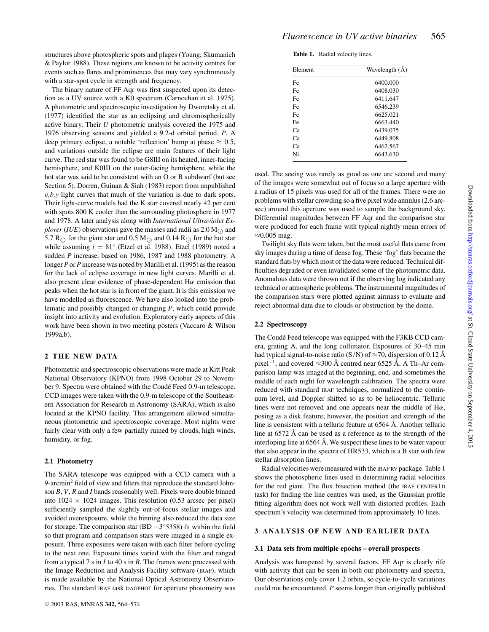structures above photospheric spots and plages (Young, Skumanich & Paylor 1988). These regions are known to be activity centres for events such as flares and prominences that may vary synchronously with a star-spot cycle in strength and frequency.

The binary nature of FF Aqr was first suspected upon its detection as a UV source with a K0 spectrum (Carnochan et al. 1975). A photometric and spectroscopic investigation by Dworetsky et al. (1977) identified the star as an eclipsing and chromospherically active binary. Their *U* photometric analysis covered the 1975 and 1976 observing seasons and yielded a 9.2-d orbital period, *P*. A deep primary eclipse, a notable 'reflection' bump at phase  $\approx 0.5$ , and variations outside the eclipse are main features of their light curve. The red star was found to be G8III on its heated, inner-facing hemisphere, and K0III on the outer-facing hemisphere, while the hot star was said to be consistent with an O or B subdwarf (but see Section 5). Dorren, Guinan & Siah (1983) report from unpublished v*,b,y* light curves that much of the variation is due to dark spots. Their light-curve models had the K star covered nearly 42 per cent with spots 800 K cooler than the surrounding photosphere in 1977 and 1978. A later analysis along with *International Ultraviolet Explorer* (*IUE*) observations gave the masses and radii as  $2.0 M_{\odot}$  and 5.7 R<sub> $\odot$ </sub> for the giant star and 0.5 M<sub> $\odot$ </sub> and 0.14 R<sub> $\odot$ </sub> for the hot star while assuming  $i = 81°$  (Etzel et al. 1988). Etzel (1989) noted a sudden *P* increase, based on 1986, 1987 and 1988 photometry. A longer *P* or *P* increase was noted by Marilli et al. (1995) as the reason for the lack of eclipse coverage in new light curves. Marilli et al. also present clear evidence of phase-dependent  $H\alpha$  emission that peaks when the hot star is in front of the giant. It is this emission we have modelled as fluorescence. We have also looked into the problematic and possibly changed or changing *P*, which could provide insight into activity and evolution. Exploratory early aspects of this work have been shown in two meeting posters (Vaccaro & Wilson 1999a,b).

# **2 THE NEW DATA**

Photometric and spectroscopic observations were made at Kitt Peak National Observatory (KPNO) from 1998 October 29 to November 9. Spectra were obtained with the Coudé Feed 0.9-m telescope. CCD images were taken with the 0.9-m telescope of the Southeastern Association for Research in Astronomy (SARA), which is also located at the KPNO facility. This arrangement allowed simultaneous photometric and spectroscopic coverage. Most nights were fairly clear with only a few partially ruined by clouds, high winds, humidity, or fog.

#### **2.1 Photometry**

The SARA telescope was equipped with a CCD camera with a 9-arcmin2 field of view and filters that reproduce the standard Johnson *B*, *V*, *R* and *I* bands reasonably well. Pixels were double binned into  $1024 \times 1024$  images. This resolution (0.53 arcsec per pixel) sufficiently sampled the slightly out-of-focus stellar images and avoided overexposure, while the binning also reduced the data size for storage. The comparison star (BD  $-3°5358$ ) fit within the field so that program and comparison stars were imaged in a single exposure. Three exposures were taken with each filter before cycling to the next one. Exposure times varied with the filter and ranged from a typical 7 s in *I* to 40 s in *B*. The frames were processed with the Image Reduction and Analysis Facility software (IRAF), which is made available by the National Optical Astronomy Observatories. The standard IRAF task DAOPHOT for aperture photometry was

**Table 1.** Radial velocity lines.

| Element | Wavelength (A) |
|---------|----------------|
| Fe      | 6400.000       |
| Fe      | 6408.030       |
| Fe.     | 6411.647       |
| Fe      | 6546.239       |
| Fe.     | 6625.021       |
| Fe.     | 6663.440       |
| Cа      | 6439.075       |
| Ca      | 6449.808       |
| Ca      | 6462.567       |
| Ni      | 6643.630       |
|         |                |

used. The seeing was rarely as good as one arc second and many of the images were somewhat out of focus so a large aperture with a radius of 15 pixels was used for all of the frames. There were no problems with stellar crowding so a five pixel wide annulus (2.6 arcsec) around this aperture was used to sample the background sky. Differential magnitudes between FF Aqr and the comparison star were produced for each frame with typical nightly mean errors of ≈0.005 mag.

Twilight sky flats were taken, but the most useful flats came from sky images during a time of dense fog. These 'fog' flats became the standard flats by which most of the data were reduced. Technical difficulties degraded or even invalidated some of the photometric data. Anomalous data were thrown out if the observing log indicated any technical or atmospheric problems. The instrumental magnitudes of the comparison stars were plotted against airmass to evaluate and reject abnormal data due to clouds or obstruction by the dome.

#### **2.2 Spectroscopy**

The Coudé Feed telescope was equipped with the F3KB CCD camera, grating A, and the long collimator. Exposures of 30–45 min had typical signal-to-noise ratio (S/N) of  $\approx$ 70, dispersion of 0.12 Å pixel<sup>-1</sup>, and covered ≈300 Å centred near 6525 Å. A Th–Ar comparison lamp was imaged at the beginning, end, and sometimes the middle of each night for wavelength calibration. The spectra were reduced with standard IRAF techniques, normalized to the continuum level, and Doppler shifted so as to be heliocentric. Telluric lines were not removed and one appears near the middle of  $H\alpha$ , posing as a disk feature; however, the position and strength of the line is consistent with a telluric feature at  $6564 \text{ Å}$ . Another telluric line at  $6572$  Å can be used as a reference as to the strength of the interloping line at  $6564 \text{ Å}$ . We suspect these lines to be water vapour that also appear in the spectra of HR533, which is a B star with few stellar absorption lines.

Radial velocities were measured with the IRAF RV package. Table 1 shows the photospheric lines used in determining radial velocities for the red giant. The flux bisection method (the IRAF CENTER1D task) for finding the line centres was used, as the Gaussian profile fitting algorithm does not work well with distorted profiles. Each spectrum's velocity was determined from approximately 10 lines.

## **3 ANALYSIS OF NEW AND EARLIER DATA**

#### **3.1 Data sets from multiple epochs – overall prospects**

Analysis was hampered by several factors. FF Aqr is clearly rife with activity that can be seen in both our photometry and spectra. Our observations only cover 1.2 orbits, so cycle-to-cycle variations could not be encountered. *P* seems longer than originally published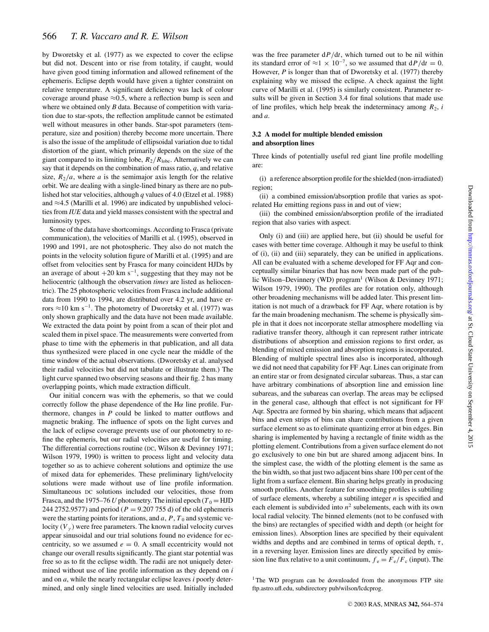by Dworetsky et al. (1977) as we expected to cover the eclipse but did not. Descent into or rise from totality, if caught, would have given good timing information and allowed refinement of the ephemeris. Eclipse depth would have given a tighter constraint on relative temperature. A significant deficiency was lack of colour coverage around phase  $\approx 0.5$ , where a reflection bump is seen and where we obtained only *B* data. Because of competition with variation due to star-spots, the reflection amplitude cannot be estimated well without measures in other bands. Star-spot parameters (temperature, size and position) thereby become more uncertain. There is also the issue of the amplitude of ellipsoidal variation due to tidal distortion of the giant, which primarily depends on the size of the giant compared to its limiting lobe,  $R_2/R_{\text{lobe}}$ . Alternatively we can say that it depends on the combination of mass ratio, *q*, and relative size,  $R_2/a$ , where *a* is the semimajor axis length for the relative orbit. We are dealing with a single-lined binary as there are no published hot star velocities, although *q* values of 4.0 (Etzel et al. 1988) and ≈4.5 (Marilli et al. 1996) are indicated by unpublished velocities from *IUE* data and yield masses consistent with the spectral and luminosity types.

Some of the data have shortcomings. According to Frasca (private communication), the velocities of Marilli et al. (1995), observed in 1990 and 1991, are not photospheric. They also do not match the points in the velocity solution figure of Marilli et al. (1995) and are offset from velocities sent by Frasca for many coincident HJDs by an average of about  $+20 \text{ km s}^{-1}$ , suggesting that they may not be heliocentric (although the observation *times* are listed as heliocentric). The 25 photospheric velocities from Frasca include additional data from 1990 to 1994, are distributed over 4.2 yr, and have errors  $≈10$  km s<sup>-1</sup>. The photometry of Dworetsky et al. (1977) was only shown graphically and the data have not been made available. We extracted the data point by point from a scan of their plot and scaled them in pixel space. The measurements were converted from phase to time with the ephemeris in that publication, and all data thus synthesized were placed in one cycle near the middle of the time window of the actual observations. (Dworetsky et al. analysed their radial velocities but did not tabulate or illustrate them.) The light curve spanned two observing seasons and their fig. 2 has many overlapping points, which made extraction difficult.

Our initial concern was with the ephemeris, so that we could correctly follow the phase dependence of the  $H\alpha$  line profile. Furthermore, changes in *P* could be linked to matter outflows and magnetic braking. The influence of spots on the light curves and the lack of eclipse coverage prevents use of our photometry to refine the ephemeris, but our radial velocities are useful for timing. The differential corrections routine (DC, Wilson & Devinney 1971; Wilson 1979, 1990) is written to process light and velocity data together so as to achieve coherent solutions and optimize the use of mixed data for ephemerides. These preliminary light/velocity solutions were made without use of line profile information. Simultaneous DC solutions included our velocities, those from Frasca, and the 1975–76 *U* photometry. The initial epoch ( $T_0 = HJD$ ) 244 2752.9577) and period ( $P = 9.207755$  d) of the old ephemeris were the starting points for iterations, and  $a$ ,  $P$ ,  $T_0$  and systemic velocity  $(V<sub>\gamma</sub>)$  were free parameters. The known radial velocity curves appear sinusoidal and our trial solutions found no evidence for eccentricity, so we assumed  $e = 0$ . A small eccentricity would not change our overall results significantly. The giant star potential was free so as to fit the eclipse width. The radii are not uniquely determined without use of line profile information as they depend on *i* and on *a*, while the nearly rectangular eclipse leaves *i* poorly determined, and only single lined velocities are used. Initially included

was the free parameter d*P*/d*t*, which turned out to be nil within its standard error of  $\approx$ 1 × 10<sup>-7</sup>, so we assumed that  $dP/dt = 0$ . However, *P* is longer than that of Dworetsky et al. (1977) thereby explaining why we missed the eclipse. A check against the light curve of Marilli et al. (1995) is similarly consistent. Parameter results will be given in Section 3.4 for final solutions that made use of line profiles, which help break the indeterminacy among  $R_2$ , *i* and *a*.

# **3.2 A model for multiple blended emission and absorption lines**

Three kinds of potentially useful red giant line profile modelling are:

(i) a reference absorption profile for the shielded (non-irradiated) region;

(ii) a combined emission/absorption profile that varies as spotrelated  $H\alpha$  emitting regions pass in and out of view;

(iii) the combined emission/absorption profile of the irradiated region that also varies with aspect.

Only (i) and (iii) are applied here, but (ii) should be useful for cases with better time coverage. Although it may be useful to think of (i), (ii) and (iii) separately, they can be unified in applications. All can be evaluated with a scheme developed for FF Aqr and conceptually similar binaries that has now been made part of the public Wilson–Devinnery (WD) program<sup>1</sup> (Wilson & Devinney 1971; Wilson 1979, 1990). The profiles are for rotation only, although other broadening mechanisms will be added later. This present limitation is not much of a drawback for FF Aqr, where rotation is by far the main broadening mechanism. The scheme is physically simple in that it does not incorporate stellar atmosphere modelling via radiative transfer theory, although it can represent rather intricate distributions of absorption and emission regions to first order, as blending of mixed emission and absorption regions is incorporated. Blending of multiple spectral lines also is incorporated, although we did not need that capability for FF Aqr. Lines can originate from an entire star or from designated circular subareas. Thus, a star can have arbitrary combinations of absorption line and emission line subareas, and the subareas can overlap. The areas may be eclipsed in the general case, although that effect is not significant for FF Aqr. Spectra are formed by bin sharing, which means that adjacent bins and even strips of bins can share contributions from a given surface element so as to eliminate quantizing error at bin edges. Bin sharing is implemented by having a rectangle of finite width as the plotting element. Contributions from a given surface element do not go exclusively to one bin but are shared among adjacent bins. In the simplest case, the width of the plotting element is the same as the bin width, so that just two adjacent bins share 100 per cent of the light from a surface element. Bin sharing helps greatly in producing smooth profiles. Another feature for smoothing profiles is subtiling of surface elements, whereby a subtiling integer *n* is specified and each element is subdivided into  $n^2$  subelements, each with its own local radial velocity. The binned elements (not to be confused with the bins) are rectangles of specified width and depth (or height for emission lines). Absorption lines are specified by their equivalent widths and depths and are combined in terms of optical depth,  $\tau$ , in a reversing layer. Emission lines are directly specified by emission line flux relative to a unit continuum,  $f_e = F_e/F_c$  (input). The

<sup>&</sup>lt;sup>1</sup>The WD program can be downloaded from the anonymous FTP site ftp.astro.ufl.edu, subdirectory pub/wilson/lcdcprog.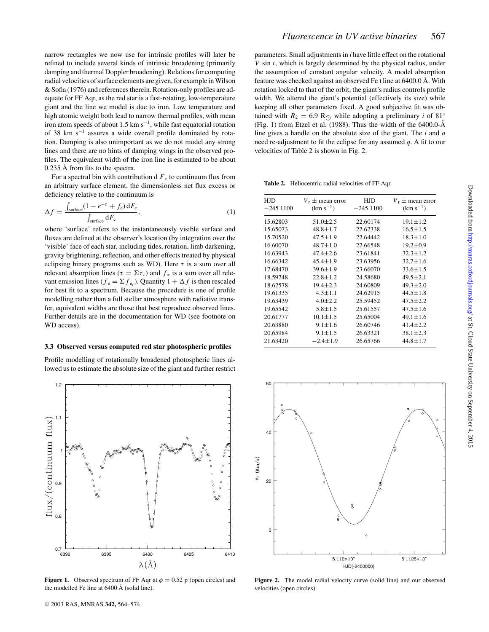narrow rectangles we now use for intrinsic profiles will later be refined to include several kinds of intrinsic broadening (primarily damping and thermal Doppler broadening). Relations for computing radial velocities of surface elements are given, for example in Wilson & Sofia (1976) and references therein. Rotation-only profiles are adequate for FF Aqr, as the red star is a fast-rotating, low-temperature giant and the line we model is due to iron. Low temperature and high atomic weight both lead to narrow thermal profiles, with mean iron atom speeds of about 1.5 km s<sup>-1</sup>, while fast equatorial rotation of 38 km s−<sup>1</sup> assures a wide overall profile dominated by rotation. Damping is also unimportant as we do not model any strong lines and there are no hints of damping wings in the observed profiles. The equivalent width of the iron line is estimated to be about  $0.235$  Å from fits to the spectra.

For a spectral bin with contribution d  $F_c$  to continuum flux from an arbitrary surface element, the dimensionless net flux excess or deficiency relative to the continuum is

$$
\Delta f = \frac{\int_{\text{surface}} (1 - e^{-\tau} + f_{\text{e}}) \, \mathrm{d}F_{\text{c}}}{\int_{\text{surface}} \mathrm{d}F_{\text{c}}},\tag{1}
$$

where 'surface' refers to the instantaneously visible surface and fluxes are defined at the observer's location (by integration over the 'visible' face of each star, including tides, rotation, limb darkening, gravity brightening, reflection, and other effects treated by physical eclipsing binary programs such as WD). Here  $\tau$  is a sum over all relevant absorption lines ( $\tau = \Sigma \tau_i$ ) and  $f_e$  is a sum over all relevant emission lines ( $f_e = \Sigma f_{e_i}$ ). Quantity  $1 + \Delta f$  is then rescaled for best fit to a spectrum. Because the procedure is one of profile modelling rather than a full stellar atmosphere with radiative transfer, equivalent widths are those that best reproduce observed lines. Further details are in the documentation for WD (see footnote on WD access).

#### **3.3 Observed versus computed red star photospheric profiles**

Profile modelling of rotationally broadened photospheric lines allowed us to estimate the absolute size of the giant and further restrict



**Figure 1.** Observed spectrum of FF Aqr at  $\phi = 0.52$  p (open circles) and the modelled Fe line at  $6400 \text{ Å}$  (solid line).

parameters. Small adjustments in *i* have little effect on the rotational *V* sin *i*, which is largely determined by the physical radius, under the assumption of constant angular velocity. A model absorption feature was checked against an observed Fe I line at  $6400.0 \text{ Å}$ . With rotation locked to that of the orbit, the giant's radius controls profile width. We altered the giant's potential (effectively its size) while keeping all other parameters fixed. A good subjective fit was obtained with  $R_2 = 6.9 \text{ R}_{\odot}$  while adopting a preliminary *i* of 81° (Fig. 1) from Etzel et al. (1988). Thus the width of the  $6400.0-\text{\AA}$ line gives a handle on the absolute size of the giant. The *i* and *a* need re-adjustment to fit the eclipse for any assumed *q*. A fit to our velocities of Table 2 is shown in Fig. 2.

Table 2. Heliocentric radial velocities of FF Aqr.

| HJD<br>$-2451100$ | $V_r \pm$ mean error<br>$(km s^{-1})$ | HJD<br>$-2451100$ | $V_r \pm$ mean error<br>$(km s^{-1})$ |
|-------------------|---------------------------------------|-------------------|---------------------------------------|
| 15.62803          | $51.0 \pm 2.5$                        | 22.60174          | $19.1 \pm 1.2$                        |
| 15.65073          | $48.8 + 1.7$                          | 22.62338          | $16.5 + 1.5$                          |
| 15.70520          | $47.5 \pm 1.9$                        | 22.64442          | $18.3 \pm 1.0$                        |
| 16.60070          | $48.7 + 1.0$                          | 22.66548          | $19.2 \pm 0.9$                        |
| 16.63943          | $47.4 + 2.6$                          | 23.61841          | $32.3 \pm 1.2$                        |
| 16.66342          | $45.4 \pm 1.9$                        | 23.63956          | $32.7 + 1.6$                          |
| 17.68470          | $39.6 \pm 1.9$                        | 23.66070          | $33.6 \pm 1.5$                        |
| 18.59748          | $22.8 \pm 1.2$                        | 24.58680          | $49.5 \pm 2.1$                        |
| 18.62578          | $19.4 \pm 2.3$                        | 24.60809          | $49.3 \pm 2.0$                        |
| 19.61335          | $4.3 \pm 1.1$                         | 24.62915          | $44.5 \pm 1.8$                        |
| 19.63439          | $4.0 + 2.2$                           | 25.59452          | $47.5 + 2.2$                          |
| 19.65542          | $5.8 \pm 1.5$                         | 25.61557          | $47.5 \pm 1.6$                        |
| 20.61777          | $10.1 \pm 1.5$                        | 25.65004          | $49.1 \pm 1.6$                        |
| 20.63880          | $9.1 \pm 1.6$                         | 26.60746          | $41.4 + 2.2$                          |
| 20.65984          | $9.1 + 1.5$                           | 26.63321          | $38.1 + 2.3$                          |
| 21.63420          | $-2.4 + 1.9$                          | 26.65766          | $44.8 \pm 1.7$                        |



**Figure 2.** The model radial velocity curve (solid line) and our observed velocities (open circles).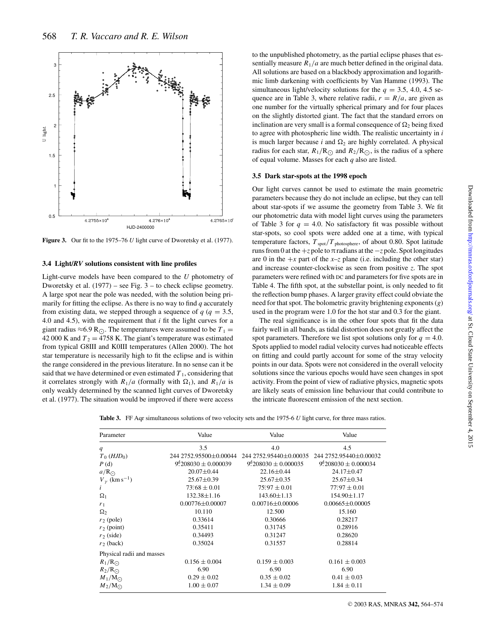

**Figure 3.** Our fit to the 1975–76 *U* light curve of Dworetsky et al. (1977).

#### **3.4 Light/***RV* **solutions consistent with line profiles**

Light-curve models have been compared to the *U* photometry of Dworetsky et al. (1977) – see Fig. 3 – to check eclipse geometry. A large spot near the pole was needed, with the solution being primarily for fitting the eclipse. As there is no way to find *q* accurately from existing data, we stepped through a sequence of  $q$  ( $q = 3.5$ , 4.0 and 4.5), with the requirement that *i* fit the light curves for a giant radius  $\approx$  6.9 R<sub>O</sub>. The temperatures were assumed to be  $T_1$  = 42 000 K and  $T_2 = 4758$  K. The giant's temperature was estimated from typical G8III and K0III temperatures (Allen 2000). The hot star temperature is necessarily high to fit the eclipse and is within the range considered in the previous literature. In no sense can it be said that we have determined or even estimated  $T_1$ , considering that it correlates strongly with  $R_1/a$  (formally with  $\Omega_1$ ), and  $R_1/a$  is only weakly determined by the scanned light curves of Dworetsky et al. (1977). The situation would be improved if there were access

to the unpublished photometry, as the partial eclipse phases that essentially measure  $R_1/a$  are much better defined in the original data. All solutions are based on a blackbody approximation and logarithmic limb darkening with coefficients by Van Hamme (1993). The simultaneous light/velocity solutions for the  $q = 3.5, 4.0, 4.5$  sequence are in Table 3, where relative radii,  $r = R/a$ , are given as one number for the virtually spherical primary and for four places on the slightly distorted giant. The fact that the standard errors on inclination are very small is a formal consequence of  $\Omega_2$  being fixed to agree with photospheric line width. The realistic uncertainty in *i* is much larger because *i* and  $\Omega_2$  are highly correlated. A physical radius for each star,  $R_1/R_{\odot}$  and  $R_2/R_{\odot}$ , is the radius of a sphere of equal volume. Masses for each *q* also are listed.

#### **3.5 Dark star-spots at the 1998 epoch**

Our light curves cannot be used to estimate the main geometric parameters because they do not include an eclipse, but they can tell about star-spots if we assume the geometry from Table 3. We fit our photometric data with model light curves using the parameters of Table 3 for  $q = 4.0$ . No satisfactory fit was possible without star-spots, so cool spots were added one at a time, with typical temperature factors,  $T_{spot}/T_{photosphere}$ , of about 0.80. Spot latitude runs from 0 at the  $+z$  pole to  $\pi$  radians at the  $-z$  pole. Spot longitudes are 0 in the  $+x$  part of the  $x-z$  plane (i.e. including the other star) and increase counter-clockwise as seen from positive *z*. The spot parameters were refined with DC and parameters for five spots are in Table 4. The fifth spot, at the substellar point, is only needed to fit the reflection bump phases. A larger gravity effect could obviate the need for that spot. The bolometric gravity brightening exponents (*g*) used in the program were 1.0 for the hot star and 0.3 for the giant.

The real significance is in the other four spots that fit the data fairly well in all bands, as tidal distortion does not greatly affect the spot parameters. Therefore we list spot solutions only for  $q = 4.0$ . Spots applied to model radial velocity curves had noticeable effects on fitting and could partly account for some of the stray velocity points in our data. Spots were not considered in the overall velocity solutions since the various epochs would have seen changes in spot activity. From the point of view of radiative physics, magnetic spots are likely seats of emission line behaviour that could contribute to the intricate fluorescent emission of the next section.

**Table 3.** FF Aqr simultaneous solutions of two velocity sets and the 1975-6 *U* light curve, for three mass ratios.

| Parameter                          | Value                     | Value                     | Value                              |
|------------------------------------|---------------------------|---------------------------|------------------------------------|
| q                                  | 3.5                       | 4.0                       | 4.5                                |
| $T_0$ (HJD <sub>0</sub> )          | 244 2752.95500 ± 0.00044  | 244 2752.95440±0.00035    | 244 2752.95440±0.00032             |
| P(d)                               | $9^{d}$ 208030 ± 0.000039 | $9^{d}$ 208030 ± 0.000035 | $9^{d}$ 208030 ± 0.000034          |
| $a/R_{\odot}$                      | $20.07 \pm 0.44$          | $22.16 \pm 0.44$          | $24.17 \pm 0.47$                   |
| $V_{\gamma}$ (km s <sup>-1</sup> ) | $25.67 \pm 0.39$          | $25.67 \pm 0.35$          | $25.67 \pm 0.34$                   |
| i                                  | $73^{\circ}68 \pm 0.01$   | $75\degree 97 \pm 0.01$   | $77^{\circ}\!\!\!\!\!/97 \pm 0.01$ |
| $\Omega_1$                         | 132.38±1.16               | $143.60 \pm 1.13$         | 154.90±1.17                        |
| r <sub>1</sub>                     | $0.00776 \pm 0.00007$     | $0.00716 \pm 0.00006$     | $0.00665 \pm 0.00005$              |
| $\Omega_2$                         | 10.110                    | 12.500                    | 15.160                             |
| $r_2$ (pole)                       | 0.33614                   | 0.30666                   | 0.28217                            |
| $r_2$ (point)                      | 0.35411                   | 0.31745                   | 0.28916                            |
| $r_2$ (side)                       | 0.34493                   | 0.31247                   | 0.28620                            |
| $r_2$ (back)                       | 0.35024                   | 0.31557                   | 0.28814                            |
| Physical radii and masses          |                           |                           |                                    |
| $R_1/R_{\odot}$                    | $0.156 \pm 0.004$         | $0.159 \pm 0.003$         | $0.161 \pm 0.003$                  |
| $R_2/R_{\odot}$                    | 6.90                      | 6.90                      | 6.90                               |
| $M_1/M_{\odot}$                    | $0.29 \pm 0.02$           | $0.35 \pm 0.02$           | $0.41 \pm 0.03$                    |
| $M_2/M_{\odot}$                    | $1.00 \pm 0.07$           | $1.34 \pm 0.09$           | $1.84 \pm 0.11$                    |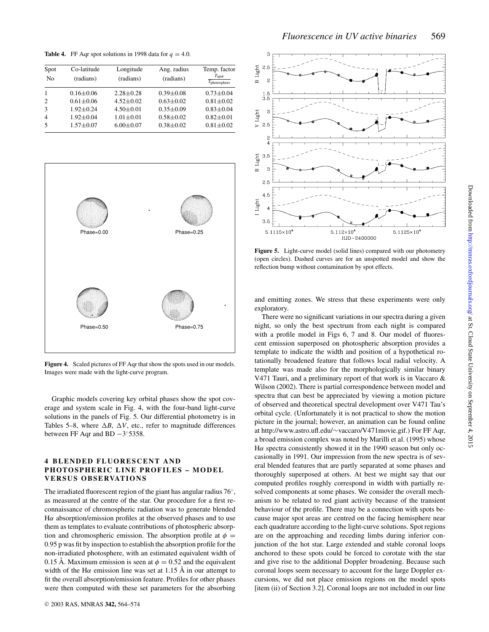**Table 4.** FF Aqr spot solutions in 1998 data for  $q = 4.0$ .

| Spot<br>N <sub>0</sub>   | Co-latitude<br>(radians) | Longitude<br>(radians) | Ang. radius<br>(radians) | Temp. factor<br>$T_{\rm spot}$<br>$T_{\text{photosphere}}$ |
|--------------------------|--------------------------|------------------------|--------------------------|------------------------------------------------------------|
|                          | $0.16 + 0.06$            | $2.28 + 0.28$          | $0.39 + 0.08$            | $0.73 + 0.04$                                              |
| $\overline{c}$           | $0.61 + 0.06$            | $4.52 + 0.02$          | $0.63 + 0.02$            | $0.81 + 0.02$                                              |
| 3                        | $1.92 + 0.24$            | $4.50 + 0.01$          | $0.35 + 0.09$            | $0.83 + 0.04$                                              |
| $\overline{4}$           | $1.92 + 0.04$            | $1.01 + 0.01$          | $0.58 + 0.02$            | $0.82 + 0.01$                                              |
| $\overline{\phantom{1}}$ | $1.57 + 0.07$            | $6.00 + 0.07$          | $0.38 + 0.02$            | $0.81 + 0.02$                                              |



**Figure 4.** Scaled pictures of FF Aqr that show the spots used in our models. Images were made with the light-curve program.

Graphic models covering key orbital phases show the spot coverage and system scale in Fig. 4, with the four-band light-curve solutions in the panels of Fig. 5. Our differential photometry is in Tables 5–8, where  $\Delta B$ ,  $\Delta V$ , etc., refer to magnitude differences between FF Aqr and BD −3◦5358.

## **4 BLENDED FLUORESCENT AND PHOTOSPHERIC LINE PROFILES – MODEL VERSUS OBSERVATIONS**

The irradiated fluorescent region of the giant has angular radius 76◦, as measured at the centre of the star. Our procedure for a first reconnaissance of chromospheric radiation was to generate blended Hα absorption/emission profiles at the observed phases and to use them as templates to evaluate contributions of photospheric absorption and chromospheric emission. The absorption profile at  $\phi =$ 0.95 p was fit by inspection to establish the absorption profile for the non-irradiated photosphere, with an estimated equivalent width of 0.15 Å. Maximum emission is seen at  $\phi = 0.52$  and the equivalent width of the H $\alpha$  emission line was set at 1.15 Å in our attempt to fit the overall absorption/emission feature. Profiles for other phases were then computed with these set parameters for the absorbing



Figure 5. Light-curve model (solid lines) compared with our photometry (open circles). Dashed curves are for an unspotted model and show the reflection bump without contamination by spot effects.

and emitting zones. We stress that these experiments were only exploratory.

There were no significant variations in our spectra during a given night, so only the best spectrum from each night is compared with a profile model in Figs 6, 7 and 8. Our model of fluorescent emission superposed on photospheric absorption provides a template to indicate the width and position of a hypothetical rotationally broadened feature that follows local radial velocity. A template was made also for the morphologically similar binary V471 Tauri, and a preliminary report of that work is in Vaccaro & Wilson (2002). There is partial correspondence between model and spectra that can best be appreciated by viewing a motion picture of observed and theoretical spectral development over V471 Tau's orbital cycle. (Unfortunately it is not practical to show the motion picture in the journal; however, an animation can be found online at http://www.astro.ufl.edu/∼vaccaro/V471movie.gif.) For FF Aqr, a broad emission complex was noted by Marilli et al. (1995) whose Hα spectra consistently showed it in the 1990 season but only occasionally in 1991. Our impression from the new spectra is of several blended features that are partly separated at some phases and thoroughly superposed at others. At best we might say that our computed profiles roughly correspond in width with partially resolved components at some phases. We consider the overall mechanism to be related to red giant activity because of the transient behaviour of the profile. There may be a connection with spots because major spot areas are centred on the facing hemisphere near each quadrature according to the light-curve solutions. Spot regions are on the approaching and receding limbs during inferior conjunction of the hot star. Large extended and stable coronal loops anchored to these spots could be forced to corotate with the star and give rise to the additional Doppler broadening. Because such coronal loops seem necessary to account for the large Doppler excursions, we did not place emission regions on the model spots [item (ii) of Section 3.2]. Coronal loops are not included in our line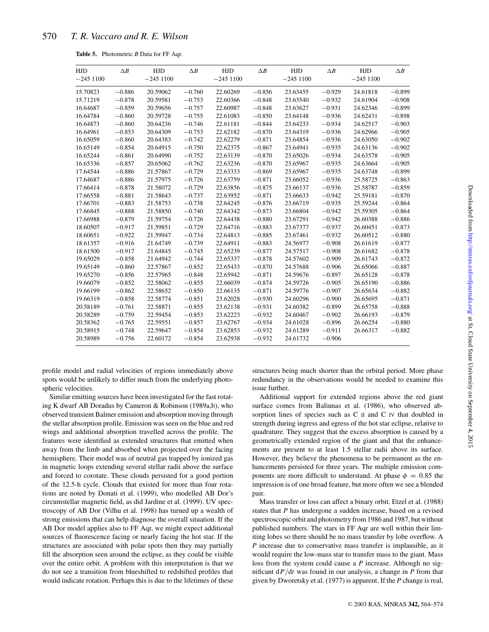| <b>Table 5.</b> Photometric <i>B</i> Data for FF Aqr. |  |
|-------------------------------------------------------|--|
|-------------------------------------------------------|--|

| HJD<br>$-2451100$ | $\triangle B$ | <b>HJD</b><br>$-2451100$ | $\triangle B$ | HJD<br>$-2451100$ | $\triangle B$ | <b>HJD</b><br>$-2451100$ | $\Delta B$ | <b>HJD</b><br>$-2451100$ | $\triangle B$ |
|-------------------|---------------|--------------------------|---------------|-------------------|---------------|--------------------------|------------|--------------------------|---------------|
| 15.70823          | $-0.886$      | 20.59062                 | $-0.760$      | 22.60269          | $-0.856$      | 23.63455                 | $-0.929$   | 24.61818                 | $-0.899$      |
| 15.71219          | $-0.878$      | 20.59581                 | $-0.753$      | 22.60366          | $-0.848$      | 23.63540                 | $-0.932$   | 24.61904                 | $-0.908$      |
| 16.64687          | $-0.859$      | 20.59656                 | $-0.757$      | 22.60987          | $-0.848$      | 23.63627                 | $-0.931$   | 24.62346                 | $-0.899$      |
| 16.64784          | $-0.860$      | 20.59728                 | $-0.755$      | 22.61083          | $-0.850$      | 23.64148                 | $-0.936$   | 24.62431                 | $-0.898$      |
| 16.64873          | $-0.860$      | 20.64236                 | $-0.746$      | 22.61181          | $-0.844$      | 23.64233                 | $-0.934$   | 24.62517                 | $-0.903$      |
| 16.64961          | $-0.853$      | 20.64309                 | $-0.753$      | 22.62182          | $-0.870$      | 23.64319                 | $-0.936$   | 24.62966                 | $-0.905$      |
| 16.65059          | $-0.860$      | 20.64383                 | $-0.742$      | 22.62279          | $-0.871$      | 23.64854                 | $-0.936$   | 24.63050                 | $-0.902$      |
| 16.65149          | $-0.854$      | 20.64915                 | $-0.750$      | 22.62375          | $-0.867$      | 23.64941                 | $-0.935$   | 24.63136                 | $-0.902$      |
| 16.65244          | $-0.861$      | 20.64990                 | $-0.752$      | 22.63139          | $-0.870$      | 23.65026                 | $-0.934$   | 24.63578                 | $-0.905$      |
| 16.65336          | $-0.857$      | 20.65062                 | $-0.762$      | 22.63236          | $-0.870$      | 23.65967                 | $-0.935$   | 24.63664                 | $-0.905$      |
| 17.64544          | $-0.886$      | 21.57867                 | $-0.729$      | 22.63333          | $-0.869$      | 23.65967                 | $-0.935$   | 24.63748                 | $-0.899$      |
| 17.64687          | $-0.886$      | 21.57975                 | $-0.726$      | 22.63759          | $-0.871$      | 23.66052                 | $-0.936$   | 25.58725                 | $-0.863$      |
| 17.66414          | $-0.878$      | 21.58072                 | $-0.729$      | 22.63856          | $-0.875$      | 23.66137                 | $-0.936$   | 25.58787                 | $-0.859$      |
| 17.66558          | $-0.881$      | 21.58643                 | $-0.737$      | 22.63952          | $-0.871$      | 23.66633                 | $-0.942$   | 25.59181                 | $-0.870$      |
| 17.66701          | $-0.883$      | 21.58753                 | $-0.738$      | 22.64245          | $-0.876$      | 23.66719                 | $-0.935$   | 25.59244                 | $-0.864$      |
| 17.66845          | $-0.888$      | 21.58850                 | $-0.740$      | 22.64342          | $-0.873$      | 23.66804                 | $-0.942$   | 25.59305                 | $-0.864$      |
| 17.66988          | $-0.879$      | 21.59754                 | $-0.726$      | 22.64438          | $-0.880$      | 23.67291                 | $-0.942$   | 26.60388                 | $-0.886$      |
| 18.60507          | $-0.917$      | 21.59851                 | $-0.729$      | 22.64716          | $-0.883$      | 23.67377                 | $-0.937$   | 26.60451                 | $-0.873$      |
| 18.60651          | $-0.922$      | 21.59947                 | $-0.734$      | 22.64813          | $-0.885$      | 23.67461                 | $-0.932$   | 26.60512                 | $-0.880$      |
| 18.61357          | $-0.916$      | 21.64749                 | $-0.739$      | 22.64911          | $-0.883$      | 24.56977                 | $-0.908$   | 26.61619                 | $-0.877$      |
| 18.61500          | $-0.917$      | 21.64845                 | $-0.745$      | 22.65239          | $-0.877$      | 24.57517                 | $-0.908$   | 26.61682                 | $-0.878$      |
| 19.65029          | $-0.858$      | 21.64942                 | $-0.744$      | 22.65337          | $-0.878$      | 24.57602                 | $-0.909$   | 26.61743                 | $-0.872$      |
| 19.65149          | $-0.860$      | 22.57867                 | $-0.852$      | 22.65433          | $-0.870$      | 24.57688                 | $-0.906$   | 26.65066                 | $-0.887$      |
| 19.65270          | $-0.856$      | 22.57965                 | $-0.848$      | 22.65942          | $-0.871$      | 24.59676                 | $-0.897$   | 26.65128                 | $-0.878$      |
| 19.66079          | $-0.852$      | 22.58062                 | $-0.855$      | 22.66039          | $-0.874$      | 24.59726                 | $-0.905$   | 26.65190                 | $-0.886$      |
| 19.66199          | $-0.862$      | 22.58652                 | $-0.850$      | 22.66135          | $-0.871$      | 24.59776                 | $-0.907$   | 26.65634                 | $-0.882$      |
| 19.66319          | $-0.858$      | 22.58774                 | $-0.851$      | 23.62028          | $-0.930$      | 24.60296                 | $-0.900$   | 26.65695                 | $-0.871$      |
| 20.58189          | $-0.761$      | 22.58871                 | $-0.855$      | 23.62138          | $-0.931$      | 24.60382                 | $-0.899$   | 26.65758                 | $-0.888$      |
| 20.58289          | $-0.759$      | 22.59454                 | $-0.853$      | 23.62223          | $-0.932$      | 24.60467                 | $-0.902$   | 26.66193                 | $-0.879$      |
| 20.58362          | $-0.765$      | 22.59551                 | $-0.857$      | 23.62767          | $-0.934$      | 24.61028                 | $-0.896$   | 26.66254                 | $-0.880$      |
| 20.58915          | $-0.748$      | 22.59647                 | $-0.854$      | 23.62853          | $-0.932$      | 24.61289                 | $-0.911$   | 26.66317                 | $-0.882$      |
| 20.58989          | $-0.756$      | 22.60172                 | $-0.854$      | 23.62938          | $-0.932$      | 24.61732                 | $-0.906$   |                          |               |

profile model and radial velocities of regions immediately above spots would be unlikely to differ much from the underlying photospheric velocities.

Similar emitting sources have been investigated for the fast rotating K dwarf AB Doradus by Cameron & Robinson (1989a,b), who observed transient Balmer emission and absorption moving through the stellar absorption profile. Emission was seen on the blue and red wings and additional absorption travelled across the profile. The features were identified as extended structures that emitted when away from the limb and absorbed when projected over the facing hemisphere. Their model was of neutral gas trapped by ionized gas in magnetic loops extending several stellar radii above the surface and forced to corotate. These clouds persisted for a good portion of the 12.5-h cycle. Clouds that existed for more than four rotations are noted by Donati et al. (1999), who modelled AB Dor's circumstellar magnetic field, as did Jardine et al. (1999). UV spectroscopy of AB Dor (Vilhu et al. 1998) has turned up a wealth of strong emissions that can help diagnose the overall situation. If the AB Dor model applies also to FF Aqr, we might expect additional sources of fluorescence facing or nearly facing the hot star. If the structures are associated with polar spots then they may partially fill the absorption seen around the eclipse, as they could be visible over the entire orbit. A problem with this interpretation is that we do not see a transition from blueshifted to redshifted profiles that would indicate rotation. Perhaps this is due to the lifetimes of these structures being much shorter than the orbital period. More phase redundancy in the observations would be needed to examine this issue further.

Additional support for extended regions above the red giant surface comes from Baliunas et al. (1986), who observed absorption lines of species such as C II and C IV that doubled in strength during ingress and egress of the hot star eclipse, relative to quadrature. They suggest that the excess absorption is caused by a geometrically extended region of the giant and that the enhancements are present to at least 1.5 stellar radii above its surface. However, they believe the phenomena to be permanent as the enhancements persisted for three years. The multiple emission components are more difficult to understand. At phase  $\phi = 0.85$  the impression is of one broad feature, but more often we see a blended pair.

Mass transfer or loss can affect a binary orbit. Etzel et al. (1988) states that *P* has undergone a sudden increase, based on a revised spectroscopic orbit and photometry from 1986 and 1987, but without published numbers. The stars in FF Aqr are well within their limiting lobes so there should be no mass transfer by lobe overflow. A *P* increase due to conservative mass transfer is implausible, as it would require the low-mass star to transfer mass to the giant. Mass loss from the system could cause a *P* increase. Although no significant d*P*/d*t* was found in our analysis, a change in *P* from that given by Dworetsky et al. (1977) is apparent. If the *P* change is real,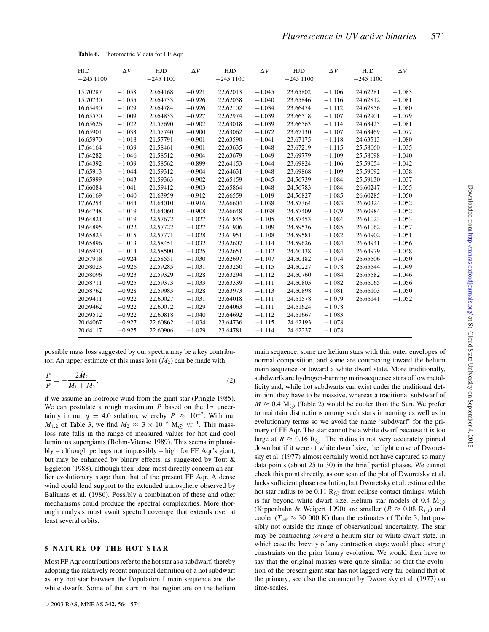| HJD<br>$-2451100$ | $\Delta V$ | HJD<br>$-2451100$ | $\Delta V$ | HJD<br>$-2451100$ | $\Delta V$ | <b>HJD</b><br>$-2451100$ | $\Delta V$ | HJD<br>$-2451100$ | $\Delta V$ |
|-------------------|------------|-------------------|------------|-------------------|------------|--------------------------|------------|-------------------|------------|
| 15.70287          | $-1.058$   | 20.64168          | $-0.921$   | 22.62013          | $-1.045$   | 23.65802                 | $-1.106$   | 24.62281          | $-1.083$   |
| 15.70730          | $-1.055$   | 20.64733          | $-0.926$   | 22.62058          | $-1.040$   | 23.65846                 | $-1.116$   | 24.62812          | $-1.081$   |
| 16.65490          | $-1.029$   | 20.64784          | $-0.926$   | 22.62102          | $-1.034$   | 23.66474                 | $-1.112$   | 24.62856          | $-1.080$   |
| 16.65570          | $-1.009$   | 20.64833          | $-0.927$   | 22.62974          | $-1.039$   | 23.66518                 | $-1.107$   | 24.62901          | $-1.079$   |
| 16.65626          | $-1.022$   | 21.57690          | $-0.902$   | 22.63018          | $-1.039$   | 23.66563                 | $-1.114$   | 24.63425          | $-1.081$   |
| 16.65901          | $-1.033$   | 21.57740          | $-0.900$   | 22.63062          | $-1.072$   | 23.67130                 | $-1.107$   | 24.63469          | $-1.077$   |
| 16.65970          | $-1.018$   | 21.57791          | $-0.901$   | 22.63590          | $-1.041$   | 23.67175                 | $-1.118$   | 24.63513          | $-1.080$   |
| 17.64164          | $-1.039$   | 21.58461          | $-0.901$   | 22.63635          | $-1.048$   | 23.67219                 | $-1.115$   | 25.58060          | $-1.035$   |
| 17.64282          | $-1.046$   | 21.58512          | $-0.904$   | 22.63679          | $-1.049$   | 23.69779                 | $-1.109$   | 25.58098          | $-1.040$   |
| 17.64392          | $-1.039$   | 21.58562          | $-0.899$   | 22.64153          | $-1.044$   | 23.69824                 | $-1.106$   | 25.59054          | $-1.042$   |
| 17.65913          | $-1.044$   | 21.59312          | $-0.904$   | 22.64631          | $-1.048$   | 23.69868                 | $-1.109$   | 25.59092          | $-1.038$   |
| 17.65999          | $-1.043$   | 21.59363          | $-0.902$   | 22.65159          | $-1.045$   | 24.56739                 | $-1.084$   | 25.59130          | $-1.037$   |
| 17.66084          | $-1.041$   | 21.59412          | $-0.903$   | 22.65864          | $-1.048$   | 24.56783                 | $-1.084$   | 26.60247          | $-1.055$   |
| 17.66169          | $-1.040$   | 21.63959          | $-0.912$   | 22.66559          | $-1.019$   | 24.56827                 | $-1.085$   | 26.60285          | $-1.050$   |
| 17.66254          | $-1.044$   | 21.64010          | $-0.916$   | 22.66604          | $-1.038$   | 24.57364                 | $-1.083$   | 26.60324          | $-1.052$   |
| 19.64748          | $-1.019$   | 21.64060          | $-0.908$   | 22.66648          | $-1.038$   | 24.57409                 | $-1.079$   | 26.60984          | $-1.052$   |
| 19.64821          | $-1.019$   | 22.57672          | $-1.027$   | 23.61845          | $-1.105$   | 24.57453                 | $-1.084$   | 26.61023          | $-1.053$   |
| 19.64895          | $-1.022$   | 22.57722          | $-1.027$   | 23.61906          | $-1.109$   | 24.59536                 | $-1.085$   | 26.61062          | $-1.057$   |
| 19.65823          | $-1.015$   | 22.57771          | $-1.028$   | 23.61951          | $-1.108$   | 24.59581                 | $-1.082$   | 26.64902          | $-1.051$   |
| 19.65896          | $-1.013$   | 22.58451          | $-1.032$   | 23.62607          | $-1.114$   | 24.59626                 | $-1.084$   | 26.64941          | $-1.056$   |
| 19.65970          | $-1.014$   | 22.58500          | $-1.025$   | 23.62651          | $-1.112$   | 24.60138                 | $-1.084$   | 26.64979          | $-1.048$   |
| 20.57918          | $-0.924$   | 22.58551          | $-1.030$   | 23.62697          | $-1.107$   | 24.60182                 | $-1.074$   | 26.65506          | $-1.050$   |
| 20.58023          | $-0.926$   | 22.59285          | $-1.031$   | 23.63250          | $-1.115$   | 24.60227                 | $-1.078$   | 26.65544          | $-1.049$   |
| 20.58096          | $-0.923$   | 22.59329          | $-1.028$   | 23.63294          | $-1.112$   | 24.60760                 | $-1.084$   | 26.65582          | $-1.046$   |
| 20.58711          | $-0.925$   | 22.59373          | $-1.033$   | 23.63339          | $-1.111$   | 24.60805                 | $-1.082$   | 26.66065          | $-1.056$   |
| 20.58762          | $-0.928$   | 22.59983          | $-1.028$   | 23.63973          | $-1.113$   | 24.60898                 | $-1.081$   | 26.66103          | $-1.050$   |
| 20.59411          | $-0.922$   | 22.60027          | $-1.031$   | 23.64018          | $-1.111$   | 24.61578                 | $-1.079$   | 26.66141          | $-1.052$   |
| 20.59462          | $-0.922$   | 22.60072          | $-1.029$   | 23.64063          | $-1.111$   | 24.61624                 | $-1.078$   |                   |            |
| 20.59512          | $-0.922$   | 22.60818          | $-1.040$   | 23.64692          | $-1.112$   | 24.61667                 | $-1.083$   |                   |            |
| 20.64067          | $-0.927$   | 22.60862          | $-1.034$   | 23.64736          | $-1.115$   | 24.62193                 | $-1.078$   |                   |            |
| 20.64117          | $-0.925$   | 22.60906          | $-1.029$   | 23.64781          | $-1.114$   | 24.62237                 | $-1.078$   |                   |            |

**Table 6.** Photometric *V* data for FF Aqr.

possible mass loss suggested by our spectra may be a key contributor. An upper estimate of this mass loss  $(M_2)$  can be made with

$$
\frac{\dot{P}}{P} = -\frac{2\dot{M}_2}{M_1 + M_2},\tag{2}
$$

if we assume an isotropic wind from the giant star (Pringle 1985). We can postulate a rough maximum  $\dot{P}$  based on the  $1\sigma$  uncertainty in our  $q = 4.0$  solution, whereby  $\dot{P} \approx 10^{-7}$ . With our  $M_{1,2}$  of Table 3, we find  $M_2 \approx 3 \times 10^{-6}$  M<sub> $\odot$ </sub> yr<sup>-1</sup>. This massloss rate falls in the range of measured values for hot and cool luminous supergiants (Bohm-Vitense 1989). This seems implausibly – although perhaps not impossibly – high for FF Aqr's giant, but may be enhanced by binary effects, as suggested by Tout & Eggleton (1988), although their ideas most directly concern an earlier evolutionary stage than that of the present FF Aqr. A dense wind could lend support to the extended atmosphere observed by Baliunas et al. (1986). Possibly a combination of these and other mechanisms could produce the spectral complexities. More thorough analysis must await spectral coverage that extends over at least several orbits.

#### **5 NATURE OF THE HOT STAR**

Most FF Aqr contributions refer to the hot star as a subdwarf, thereby adopting the relatively recent empirical definition of a hot subdwarf as any hot star between the Population I main sequence and the white dwarfs. Some of the stars in that region are on the helium

main sequence, some are helium stars with thin outer envelopes of normal composition, and some are contracting toward the helium main sequence or toward a white dwarf state. More traditionally, subdwarfs are hydrogen-burning main-sequence stars of low metallicity and, while hot subdwarfs can exist under the traditional definition, they have to be massive, whereas a traditional subdwarf of  $M \approx 0.4$  M<sub> $\odot$ </sub> (Table 2) would be cooler than the Sun. We prefer to maintain distinctions among such stars in naming as well as in evolutionary terms so we avoid the name 'subdwarf' for the primary of FF Aqr. The star cannot be a white dwarf because it is too large at  $R \approx 0.16$  R<sub>O</sub>. The radius is not very accurately pinned down but if it were of white dwarf size, the light curve of Dworetsky et al. (1977) almost certainly would not have captured so many data points (about 25 to 30) in the brief partial phases. We cannot check this point directly, as our scan of the plot of Dworetsky et al. lacks sufficient phase resolution, but Dworetsky et al. estimated the hot star radius to be 0.11  $R_{\odot}$  from eclipse contact timings, which is far beyond white dwarf size. Helium star models of 0.4  $M_{\odot}$ (Kippenhahn & Weigert 1990) are smaller ( $R \approx 0.08$  R<sub>O</sub>) and cooler ( $T_{\text{eff}} \approx 30000 \text{ K}$ ) than the estimates of Table 3, but possibly not outside the range of observational uncertainty. The star may be contracting *toward* a helium star or white dwarf state, in which case the brevity of any contraction stage would place strong constraints on the prior binary evolution. We would then have to say that the original masses were quite similar so that the evolution of the present giant star has not lagged very far behind that of the primary; see also the comment by Dworetsky et al. (1977) on time-scales.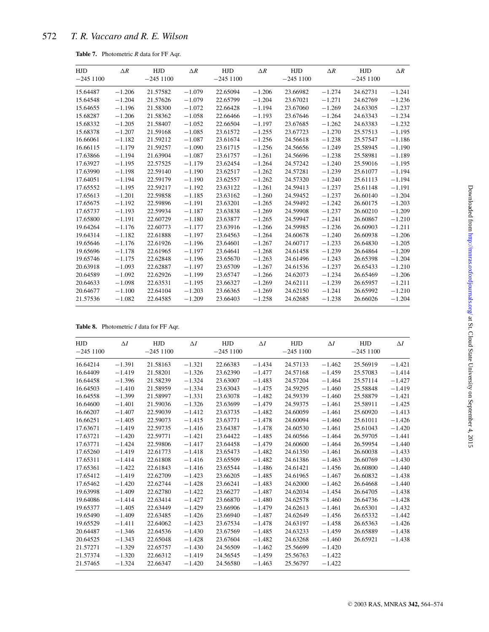|  | <b>Table 7.</b> Photometric $R$ data for FF Aqr. |  |  |  |  |
|--|--------------------------------------------------|--|--|--|--|
|--|--------------------------------------------------|--|--|--|--|

| HJD<br>$-2451100$ | $\Delta R$ | HJD<br>$-2451100$ | $\Delta R$ | HJD<br>$-2451100$ | $\Delta R$ | HJD<br>$-2451100$ | $\Delta R$ | HJD<br>$-2451100$ | $\Delta R$ |
|-------------------|------------|-------------------|------------|-------------------|------------|-------------------|------------|-------------------|------------|
| 15.64487          | $-1.206$   | 21.57582          | $-1.079$   | 22.65094          | $-1.206$   | 23.66982          | $-1.274$   | 24.62731          | $-1.241$   |
| 15.64548          | $-1.204$   | 21.57626          | $-1.079$   | 22.65799          | $-1.204$   | 23.67021          | $-1.271$   | 24.62769          | $-1.236$   |
| 15.64655          | $-1.196$   | 21.58300          | $-1.072$   | 22.66428          | $-1.194$   | 23.67060          | $-1.269$   | 24.63305          | $-1.237$   |
| 15.68287          | $-1.206$   | 21.58362          | $-1.058$   | 22.66466          | $-1.193$   | 23.67646          | $-1.264$   | 24.63343          | $-1.234$   |
| 15.68332          | $-1.205$   | 21.58407          | $-1.052$   | 22.66504          | $-1.197$   | 23.67685          | $-1.262$   | 24.63383          | $-1.232$   |
| 15.68378          | $-1.207$   | 21.59168          | $-1.085$   | 23.61572          | $-1.255$   | 23.67723          | $-1.270$   | 25.57513          | $-1.195$   |
| 16.66061          | $-1.182$   | 21.59212          | $-1.087$   | 23.61674          | $-1.256$   | 24.56618          | $-1.238$   | 25.57547          | $-1.186$   |
| 16.66115          | $-1.179$   | 21.59257          | $-1.090$   | 23.61715          | $-1.256$   | 24.56656          | $-1.249$   | 25.58945          | $-1.190$   |
| 17.63866          | $-1.194$   | 21.63904          | $-1.087$   | 23.61757          | $-1.261$   | 24.56696          | $-1.238$   | 25.58981          | $-1.189$   |
| 17.63927          | $-1.195$   | 22.57525          | $-1.179$   | 23.62454          | $-1.264$   | 24.57242          | $-1.240$   | 25.59016          | $-1.195$   |
| 17.63990          | $-1.198$   | 22.59140          | $-1.190$   | 23.62517          | $-1.262$   | 24.57281          | $-1.239$   | 25.61077          | $-1.194$   |
| 17.64051          | $-1.194$   | 22.59179          | $-1.190$   | 23.62557          | $-1.262$   | 24.57320          | $-1.240$   | 25.61113          | $-1.194$   |
| 17.65552          | $-1.195$   | 22.59217          | $-1.192$   | 23.63122          | $-1.261$   | 24.59413          | $-1.237$   | 25.61148          | $-1.191$   |
| 17.65613          | $-1.201$   | 22.59858          | $-1.185$   | 23.63162          | $-1.260$   | 24.59452          | $-1.237$   | 26.60140          | $-1.204$   |
| 17.65675          | $-1.192$   | 22.59896          | $-1.191$   | 23.63201          | $-1.265$   | 24.59492          | $-1.242$   | 26.60175          | $-1.203$   |
| 17.65737          | $-1.193$   | 22.59934          | $-1.187$   | 23.63838          | $-1.269$   | 24.59908          | $-1.237$   | 26.60210          | $-1.209$   |
| 17.65800          | $-1.191$   | 22.60729          | $-1.180$   | 23.63877          | $-1.265$   | 24.59947          | $-1.241$   | 26.60867          | $-1.210$   |
| 19.64264          | $-1.176$   | 22.60773          | $-1.177$   | 23.63916          | $-1.266$   | 24.59985          | $-1.236$   | 26.60903          | $-1.211$   |
| 19.64314          | $-1.182$   | 22.61888          | $-1.197$   | 23.64563          | $-1.264$   | 24.60678          | $-1.240$   | 26.60938          | $-1.206$   |
| 19.65646          | $-1.176$   | 22.61926          | $-1.196$   | 23.64601          | $-1.267$   | 24.60717          | $-1.233$   | 26.64830          | $-1.205$   |
| 19.65696          | $-1.178$   | 22.61965          | $-1.197$   | 23.64641          | $-1.268$   | 24.61458          | $-1.239$   | 26.64864          | $-1.209$   |
| 19.65746          | $-1.175$   | 22.62848          | $-1.196$   | 23.65670          | $-1.263$   | 24.61496          | $-1.243$   | 26.65398          | $-1.204$   |
| 20.63918          | $-1.093$   | 22.62887          | $-1.197$   | 23.65709          | $-1.267$   | 24.61536          | $-1.237$   | 26.65433          | $-1.210$   |
| 20.64589          | $-1.092$   | 22.62926          | $-1.199$   | 23.65747          | $-1.266$   | 24.62073          | $-1.234$   | 26.65469          | $-1.206$   |
| 20.64633          | $-1.098$   | 22.63531          | $-1.195$   | 23.66327          | $-1.269$   | 24.62111          | $-1.239$   | 26.65957          | $-1.211$   |
| 20.64677          | $-1.100$   | 22.64104          | $-1.203$   | 23.66365          | $-1.269$   | 24.62150          | $-1.241$   | 26.65992          | $-1.210$   |
| 21.57536          | $-1.082$   | 22.64585          | $-1.209$   | 23.66403          | $-1.258$   | 24.62685          | $-1.238$   | 26.66026          | $-1.204$   |
|                   |            |                   |            |                   |            |                   |            |                   |            |

| <b>Table 8.</b> Photometric I data for FF Aqr. |  |
|------------------------------------------------|--|
|------------------------------------------------|--|

| <b>HJD</b><br>$-2451100$ | $\Delta I$ | <b>HJD</b><br>$-2451100$ | $\Delta I$ | HJD<br>$-2451100$ | $\Delta I$ | <b>HJD</b><br>$-2451100$ | $\Delta I$ | <b>HJD</b><br>$-2451100$ | $\Delta I$ |
|--------------------------|------------|--------------------------|------------|-------------------|------------|--------------------------|------------|--------------------------|------------|
| 16.64214                 | $-1.391$   | 21.58163                 | $-1.321$   | 22.66383          | $-1.434$   | 24.57133                 | $-1.462$   | 25.56919                 | $-1.421$   |
| 16.64409                 | $-1.419$   | 21.58201                 | $-1.326$   | 23.62390          | $-1.477$   | 24.57168                 | $-1.459$   | 25.57083                 | $-1.414$   |
| 16.64458                 | $-1.396$   | 21.58239                 | $-1.324$   | 23.63007          | $-1.483$   | 24.57204                 | $-1.464$   | 25.57114                 | $-1.427$   |
| 16.64503                 | $-1.410$   | 21.58959                 | $-1.334$   | 23.63043          | $-1.475$   | 24.59295                 | $-1.460$   | 25.58848                 | $-1.419$   |
| 16.64558                 | $-1.399$   | 21.58997                 | $-1.331$   | 23.63078          | $-1.482$   | 24.59339                 | $-1.460$   | 25.58879                 | $-1.421$   |
| 16.64600                 | $-1.401$   | 21.59036                 | $-1.326$   | 23.63699          | $-1.479$   | 24.59375                 | $-1.461$   | 25.58911                 | $-1.425$   |
| 16.66207                 | $-1.407$   | 22.59039                 | $-1.412$   | 23.63735          | $-1.482$   | 24.60059                 | $-1.461$   | 25.60920                 | $-1.413$   |
| 16.66251                 | $-1.405$   | 22.59073                 | $-1.415$   | 23.63771          | $-1.478$   | 24.60094                 | $-1.460$   | 25.61011                 | $-1.426$   |
| 17.63671                 | $-1.419$   | 22.59735                 | $-1.416$   | 23.64387          | $-1.478$   | 24.60530                 | $-1.461$   | 25.61043                 | $-1.420$   |
| 17.63721                 | $-1.420$   | 22.59771                 | $-1.421$   | 23.64422          | $-1.485$   | 24.60566                 | $-1.464$   | 26.59705                 | $-1.441$   |
| 17.63771                 | $-1.424$   | 22.59806                 | $-1.417$   | 23.64458          | $-1.479$   | 24.60600                 | $-1.464$   | 26.59954                 | $-1.440$   |
| 17.65260                 | $-1.419$   | 22.61773                 | $-1.418$   | 23.65473          | $-1.482$   | 24.61350                 | $-1.461$   | 26.60038                 | $-1.433$   |
| 17.65311                 | $-1.414$   | 22.61808                 | $-1.416$   | 23.65509          | $-1.482$   | 24.61386                 | $-1.463$   | 26.60769                 | $-1.430$   |
| 17.65361                 | $-1.422$   | 22.61843                 | $-1.416$   | 23.65544          | $-1.486$   | 24.61421                 | $-1.456$   | 26.60800                 | $-1.440$   |
| 17.65412                 | $-1.419$   | 22.62709                 | $-1.423$   | 23.66205          | $-1.485$   | 24.61965                 | $-1.467$   | 26.60832                 | $-1.438$   |
| 17.65462                 | $-1.420$   | 22.62744                 | $-1.428$   | 23.66241          | $-1.483$   | 24.62000                 | $-1.462$   | 26.64668                 | $-1.440$   |
| 19.63998                 | $-1.409$   | 22.62780                 | $-1.422$   | 23.66277          | $-1.487$   | 24.62034                 | $-1.454$   | 26.64705                 | $-1.438$   |
| 19.64086                 | $-1.414$   | 22.63414                 | $-1.427$   | 23.66870          | $-1.480$   | 24.62578                 | $-1.460$   | 26.64736                 | $-1.428$   |
| 19.65377                 | $-1.405$   | 22.63449                 | $-1.429$   | 23.66906          | $-1.479$   | 24.62613                 | $-1.461$   | 26.65301                 | $-1.432$   |
| 19.65490                 | $-1.409$   | 22.63485                 | $-1.426$   | 23.66940          | $-1.487$   | 24.62649                 | $-1.456$   | 26.65332                 | $-1.442$   |
| 19.65529                 | $-1.411$   | 22.64062                 | $-1.423$   | 23.67534          | $-1.478$   | 24.63197                 | $-1.458$   | 26.65363                 | $-1.426$   |
| 20.64487                 | $-1.346$   | 22.64536                 | $-1.430$   | 23.67569          | $-1.485$   | 24.63233                 | $-1.459$   | 26.65889                 | $-1.438$   |
| 20.64525                 | $-1.343$   | 22.65048                 | $-1.428$   | 23.67604          | $-1.482$   | 24.63268                 | $-1.460$   | 26.65921                 | $-1.438$   |
| 21.57271                 | $-1.329$   | 22.65757                 | $-1.430$   | 24.56509          | $-1.462$   | 25.56699                 | $-1.420$   |                          |            |
| 21.57374                 | $-1.320$   | 22.66312                 | $-1.419$   | 24.56545          | $-1.459$   | 25.56763                 | $-1.422$   |                          |            |
| 21.57465                 | $-1.324$   | 22.66347                 | $-1.420$   | 24.56580          | $-1.463$   | 25.56797                 | $-1.422$   |                          |            |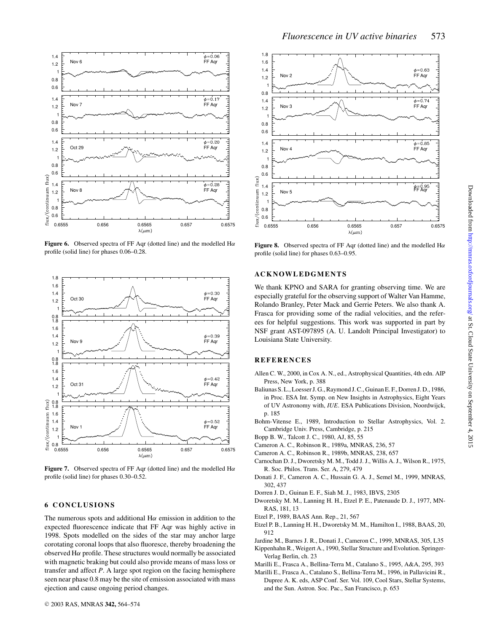

**Figure 6.** Observed spectra of FF Aqr (dotted line) and the modelled Hα profile (solid line) for phases 0.06–0.28.



**Figure 7.** Observed spectra of FF Aqr (dotted line) and the modelled Hα profile (solid line) for phases 0.30–0.52.

#### **6 CONCLUSIONS**

The numerous spots and additional  $H\alpha$  emission in addition to the expected fluorescence indicate that FF Aqr was highly active in 1998. Spots modelled on the sides of the star may anchor large corotating coronal loops that also fluoresce, thereby broadening the observed  $H\alpha$  profile. These structures would normally be associated with magnetic braking but could also provide means of mass loss or transfer and affect *P*. A large spot region on the facing hemisphere seen near phase 0.8 may be the site of emission associated with mass ejection and cause ongoing period changes.



**Figure 8.** Observed spectra of FF Aqr (dotted line) and the modelled H $\alpha$ profile (solid line) for phases 0.63–0.95.

#### **ACKNOWLEDGMENTS**

We thank KPNO and SARA for granting observing time. We are especially grateful for the observing support of Walter Van Hamme, Rolando Branley, Peter Mack and Gerrie Peters. We also thank A. Frasca for providing some of the radial velocities, and the referees for helpful suggestions. This work was supported in part by NSF grant AST-097895 (A. U. Landolt Principal Investigator) to Louisiana State University.

# **REFERENCES**

- Allen C. W., 2000, in Cox A. N., ed., Astrophysical Quantities, 4th edn. AIP Press, New York, p. 388
- Baliunas S. L., Loesser J. G., Raymond J. C., Guinan E. F., Dorren J. D., 1986, in Proc. ESA Int. Symp. on New Insights in Astrophysics, Eight Years of UV Astronomy with, *IUE*. ESA Publications Division, Noordwijck, p. 185
- Bohm-Vitense E., 1989, Introduction to Stellar Astrophysics, Vol. 2. Cambridge Univ. Press, Cambridge, p. 215
- Bopp B. W., Talcott J. C., 1980, AJ, 85, 55
- Cameron A. C., Robinson R., 1989a, MNRAS, 236, 57
- Cameron A. C., Robinson R., 1989b, MNRAS, 238, 657
- Carnochan D. J., Dworetsky M. M., Todd J. J., Willis A. J., Wilson R., 1975, R. Soc. Philos. Trans. Ser. A, 279, 479
- Donati J. F., Cameron A. C., Hussain G. A. J., Semel M., 1999, MNRAS, 302, 437
- Dorren J. D., Guinan E. F., Siah M. J., 1983, IBVS, 2305
- Dworetsky M. M., Lanning H. H., Etzel P. E., Patenaude D. J., 1977, MN-RAS, 181, 13
- Etzel P., 1989, BAAS Ann. Rep., 21, 567
- Etzel P. B., Lanning H. H., Dworetsky M. M., Hamilton I., 1988, BAAS, 20, 912
- Jardine M., Barnes J. R., Donati J., Cameron C., 1999, MNRAS, 305, L35
- Kippenhahn R., Weigert A., 1990, Stellar Structure and Evolution. Springer-Verlag Berlin, ch. 23
- Marilli E., Frasca A., Bellina-Terra M., Catalano S., 1995, A&A, 295, 393
- Marilli E., Frasca A., Catalano S., Bellina-Terra M., 1996, in Pallavicini R., Dupree A. K. eds, ASP Conf. Ser. Vol. 109, Cool Stars, Stellar Systems, and the Sun. Astron. Soc. Pac., San Francisco, p. 653